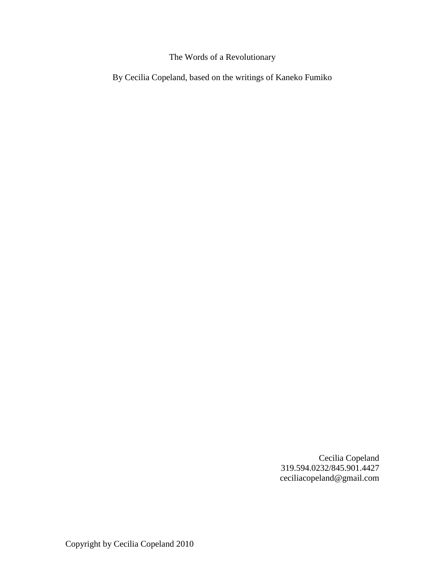## The Words of a Revolutionary

By Cecilia Copeland, based on the writings of Kaneko Fumiko

Cecilia Copeland 319.594.0232/845.901.4427 ceciliacopeland@gmail.com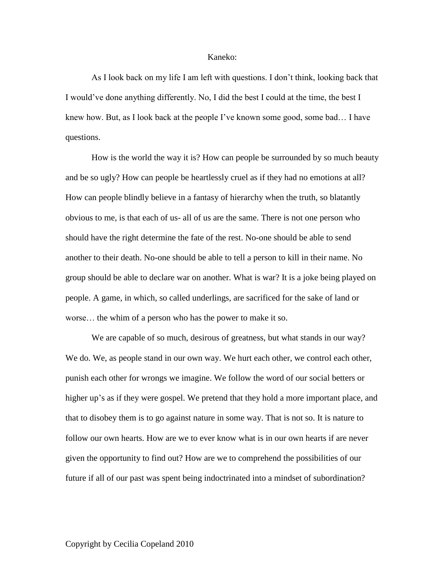## Kaneko:

As I look back on my life I am left with questions. I don't think, looking back that I would've done anything differently. No, I did the best I could at the time, the best I knew how. But, as I look back at the people I've known some good, some bad… I have questions.

How is the world the way it is? How can people be surrounded by so much beauty and be so ugly? How can people be heartlessly cruel as if they had no emotions at all? How can people blindly believe in a fantasy of hierarchy when the truth, so blatantly obvious to me, is that each of us- all of us are the same. There is not one person who should have the right determine the fate of the rest. No-one should be able to send another to their death. No-one should be able to tell a person to kill in their name. No group should be able to declare war on another. What is war? It is a joke being played on people. A game, in which, so called underlings, are sacrificed for the sake of land or worse… the whim of a person who has the power to make it so.

We are capable of so much, desirous of greatness, but what stands in our way? We do. We, as people stand in our own way. We hurt each other, we control each other, punish each other for wrongs we imagine. We follow the word of our social betters or higher up's as if they were gospel. We pretend that they hold a more important place, and that to disobey them is to go against nature in some way. That is not so. It is nature to follow our own hearts. How are we to ever know what is in our own hearts if are never given the opportunity to find out? How are we to comprehend the possibilities of our future if all of our past was spent being indoctrinated into a mindset of subordination?